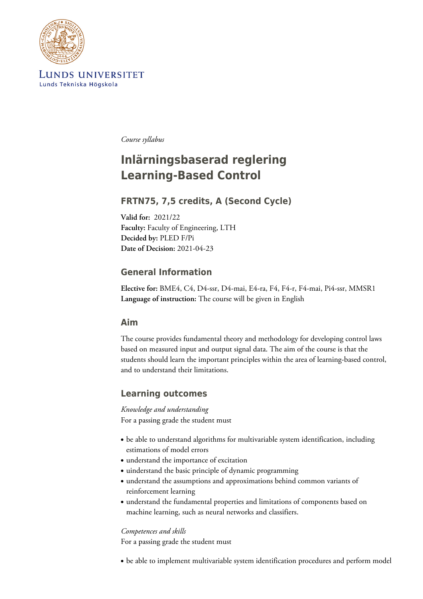

LUNDS UNIVERSITET Lunds Tekniska Högskola

*Course syllabus*

# **Inlärningsbaserad reglering Learning-Based Control**

# **FRTN75, 7,5 credits, A (Second Cycle)**

**Valid for:** 2021/22 **Faculty:** Faculty of Engineering, LTH **Decided by:** PLED F/Pi **Date of Decision:** 2021-04-23

## **General Information**

**Elective for:** BME4, C4, D4-ssr, D4-mai, E4-ra, F4, F4-r, F4-mai, Pi4-ssr, MMSR1 **Language of instruction:** The course will be given in English

### **Aim**

The course provides fundamental theory and methodology for developing control laws based on measured input and output signal data. The aim of the course is that the students should learn the important principles within the area of learning-based control, and to understand their limitations.

## **Learning outcomes**

*Knowledge and understanding* For a passing grade the student must

- be able to understand algorithms for multivariable system identification, including estimations of model errors
- understand the importance of excitation
- uinderstand the basic principle of dynamic programming
- understand the assumptions and approximations behind common variants of reinforcement learning
- understand the fundamental properties and limitations of components based on machine learning, such as neural networks and classifiers.

### *Competences and skills*

For a passing grade the student must

• be able to implement multivariable system identification procedures and perform model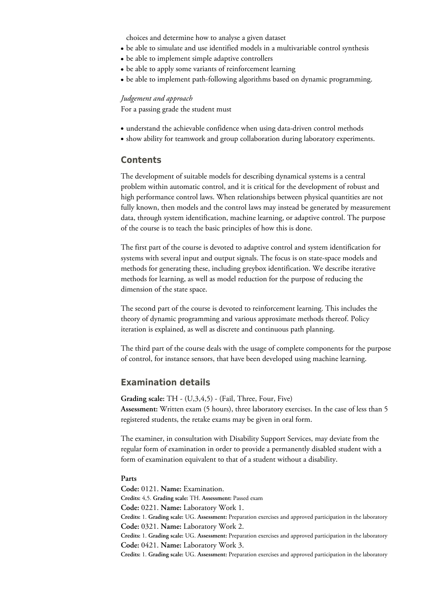choices and determine how to analyse a given dataset

- be able to simulate and use identified models in a multivariable control synthesis
- be able to implement simple adaptive controllers
- be able to apply some variants of reinforcement learning
- be able to implement path-following algorithms based on dynamic programming.

#### *Judgement and approach*

For a passing grade the student must

- understand the achievable confidence when using data-driven control methods
- show ability for teamwork and group collaboration during laboratory experiments.

### **Contents**

The development of suitable models for describing dynamical systems is a central problem within automatic control, and it is critical for the development of robust and high performance control laws. When relationships between physical quantities are not fully known, then models and the control laws may instead be generated by measurement data, through system identification, machine learning, or adaptive control. The purpose of the course is to teach the basic principles of how this is done.

The first part of the course is devoted to adaptive control and system identification for systems with several input and output signals. The focus is on state-space models and methods for generating these, including greybox identification. We describe iterative methods for learning, as well as model reduction for the purpose of reducing the dimension of the state space.

The second part of the course is devoted to reinforcement learning. This includes the theory of dynamic programming and various approximate methods thereof. Policy iteration is explained, as well as discrete and continuous path planning.

The third part of the course deals with the usage of complete components for the purpose of control, for instance sensors, that have been developed using machine learning.

### **Examination details**

**Grading scale:** TH - (U,3,4,5) - (Fail, Three, Four, Five) **Assessment:** Written exam (5 hours), three laboratory exercises. In the case of less than 5 registered students, the retake exams may be given in oral form.

The examiner, in consultation with Disability Support Services, may deviate from the regular form of examination in order to provide a permanently disabled student with a form of examination equivalent to that of a student without a disability.

#### **Parts**

**Code:** 0121. **Name:** Examination. **Credits:** 4,5. **Grading scale:** TH. **Assessment:** Passed exam **Code:** 0221. **Name:** Laboratory Work 1. **Credits:** 1. **Grading scale:** UG. **Assessment:** Preparation exercises and approved participation in the laboratory **Code:** 0321. **Name:** Laboratory Work 2. **Credits:** 1. **Grading scale:** UG. **Assessment:** Preparation exercises and approved participation in the laboratory **Code:** 0421. **Name:** Laboratory Work 3. **Credits:** 1. **Grading scale:** UG. **Assessment:** Preparation exercises and approved participation in the laboratory